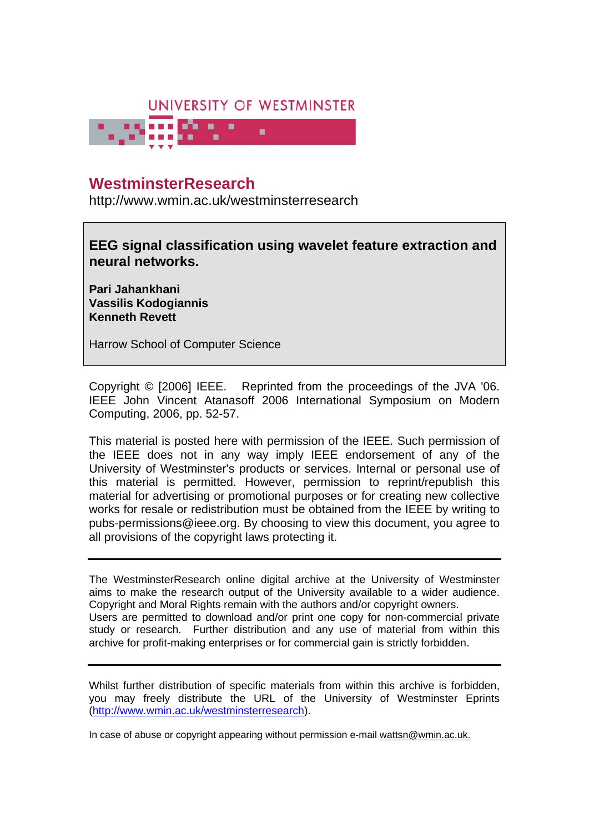

# **WestminsterResearch**

http://www.wmin.ac.uk/westminsterresearch

**EEG signal classification using wavelet feature extraction and neural networks.** 

**Pari Jahankhani Vassilis Kodogiannis Kenneth Revett** 

Harrow School of Computer Science

Copyright © [2006] IEEE. Reprinted from the proceedings of the JVA '06. IEEE John Vincent Atanasoff 2006 International Symposium on Modern Computing, 2006, pp. 52-57.

This material is posted here with permission of the IEEE. Such permission of the IEEE does not in any way imply IEEE endorsement of any of the University of Westminster's products or services. Internal or personal use of this material is permitted. However, permission to reprint/republish this material for advertising or promotional purposes or for creating new collective works for resale or redistribution must be obtained from the IEEE by writing to pubs-permissions@ieee.org. By choosing to view this document, you agree to all provisions of the copyright laws protecting it.

The WestminsterResearch online digital archive at the University of Westminster aims to make the research output of the University available to a wider audience. Copyright and Moral Rights remain with the authors and/or copyright owners. Users are permitted to download and/or print one copy for non-commercial private study or research. Further distribution and any use of material from within this archive for profit-making enterprises or for commercial gain is strictly forbidden.

Whilst further distribution of specific materials from within this archive is forbidden, you may freely distribute the URL of the University of Westminster Eprints (http://www.wmin.ac.uk/westminsterresearch).

In case of abuse or copyright appearing without permission e-mail wattsn@wmin.ac.uk.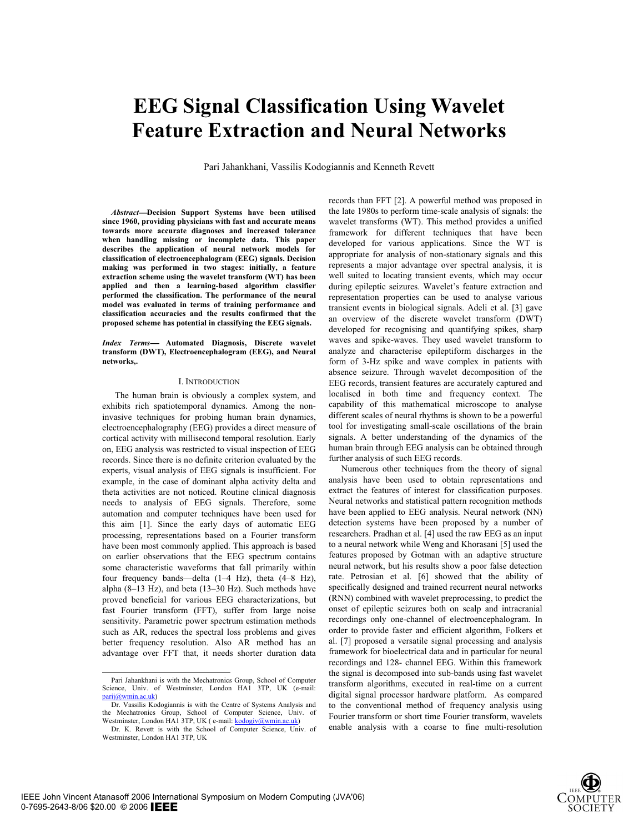# **EEG Signal Classification Using Wavelet Feature Extraction and Neural Networks**

Pari Jahankhani, Vassilis Kodogiannis and Kenneth Revett

*Abstract***Decision Support Systems have been utilised since 1960, providing physicians with fast and accurate means towards more accurate diagnoses and increased tolerance when handling missing or incomplete data. This paper describes the application of neural network models for classification of electroencephalogram (EEG) signals. Decision making was performed in two stages: initially, a feature extraction scheme using the wavelet transform (WT) has been applied and then a learning-based algorithm classifier performed the classification. The performance of the neural model was evaluated in terms of training performance and classification accuracies and the results confirmed that the proposed scheme has potential in classifying the EEG signals.** 

*Index Terms* **Automated Diagnosis, Discrete wavelet transform (DWT), Electroencephalogram (EEG), and Neural networks,.** 

#### I. INTRODUCTION

The human brain is obviously a complex system, and exhibits rich spatiotemporal dynamics. Among the noninvasive techniques for probing human brain dynamics, electroencephalography (EEG) provides a direct measure of cortical activity with millisecond temporal resolution. Early on, EEG analysis was restricted to visual inspection of EEG records. Since there is no definite criterion evaluated by the experts, visual analysis of EEG signals is insufficient. For example, in the case of dominant alpha activity delta and theta activities are not noticed. Routine clinical diagnosis needs to analysis of EEG signals. Therefore, some automation and computer techniques have been used for this aim [1]. Since the early days of automatic EEG processing, representations based on a Fourier transform have been most commonly applied. This approach is based on earlier observations that the EEG spectrum contains some characteristic waveforms that fall primarily within four frequency bands—delta (1–4 Hz), theta (4–8 Hz), alpha (8–13 Hz), and beta (13–30 Hz). Such methods have proved beneficial for various EEG characterizations, but fast Fourier transform (FFT), suffer from large noise sensitivity. Parametric power spectrum estimation methods such as AR, reduces the spectral loss problems and gives better frequency resolution. Also AR method has an advantage over FFT that, it needs shorter duration data

records than FFT [2]. A powerful method was proposed in the late 1980s to perform time-scale analysis of signals: the wavelet transforms (WT). This method provides a unified framework for different techniques that have been developed for various applications. Since the WT is appropriate for analysis of non-stationary signals and this represents a major advantage over spectral analysis, it is well suited to locating transient events, which may occur during epileptic seizures. Wavelet's feature extraction and representation properties can be used to analyse various transient events in biological signals. Adeli et al. [3] gave an overview of the discrete wavelet transform (DWT) developed for recognising and quantifying spikes, sharp waves and spike-waves. They used wavelet transform to analyze and characterise epileptiform discharges in the form of 3-Hz spike and wave complex in patients with absence seizure. Through wavelet decomposition of the EEG records, transient features are accurately captured and localised in both time and frequency context. The capability of this mathematical microscope to analyse different scales of neural rhythms is shown to be a powerful tool for investigating small-scale oscillations of the brain signals. A better understanding of the dynamics of the human brain through EEG analysis can be obtained through further analysis of such EEG records.

Numerous other techniques from the theory of signal analysis have been used to obtain representations and extract the features of interest for classification purposes. Neural networks and statistical pattern recognition methods have been applied to EEG analysis. Neural network (NN) detection systems have been proposed by a number of researchers. Pradhan et al. [4] used the raw EEG as an input to a neural network while Weng and Khorasani [5] used the features proposed by Gotman with an adaptive structure neural network, but his results show a poor false detection rate. Petrosian et al. [6] showed that the ability of specifically designed and trained recurrent neural networks (RNN) combined with wavelet preprocessing, to predict the onset of epileptic seizures both on scalp and intracranial recordings only one-channel of electroencephalogram. In order to provide faster and efficient algorithm, Folkers et al. [7] proposed a versatile signal processing and analysis framework for bioelectrical data and in particular for neural recordings and 128- channel EEG. Within this framework the signal is decomposed into sub-bands using fast wavelet transform algorithms, executed in real-time on a current digital signal processor hardware platform. As compared to the conventional method of frequency analysis using Fourier transform or short time Fourier transform, wavelets enable analysis with a coarse to fine multi-resolution



Pari Jahankhani is with the Mechatronics Group, School of Computer Science, Univ. of Westminster, London HA1 3TP, UK (e-mail: parij@wmin.ac.uk)

Dr. Vassilis Kodogiannis is with the Centre of Systems Analysis and the Mechatronics Group, School of Computer Science, Univ. of Westminster, London HA1 3TP, UK ( e-mail: kodogiv@wmin.ac.uk)

Dr. K. Revett is with the School of Computer Science, Univ. of Westminster, London HA1 3TP, UK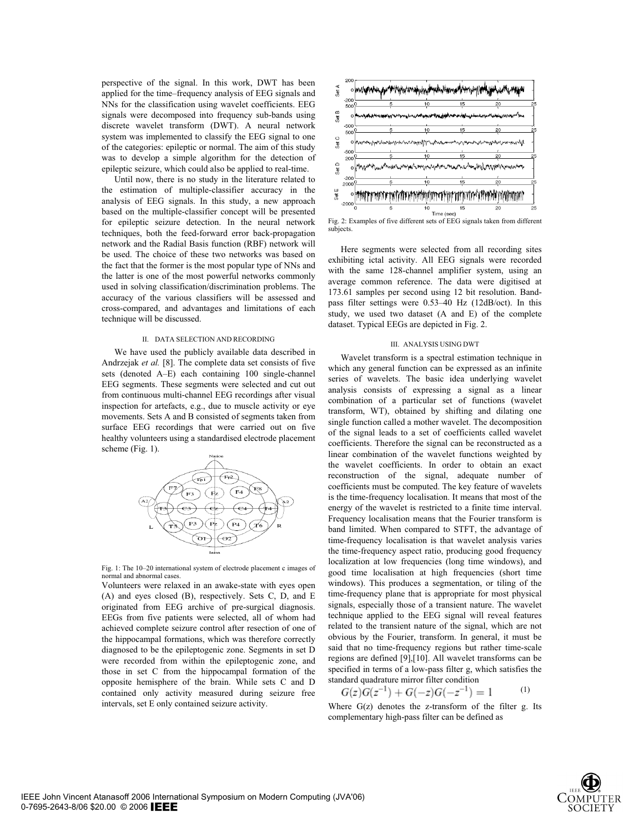perspective of the signal. In this work, DWT has been applied for the time–frequency analysis of EEG signals and NNs for the classification using wavelet coefficients. EEG signals were decomposed into frequency sub-bands using discrete wavelet transform (DWT). A neural network system was implemented to classify the EEG signal to one of the categories: epileptic or normal. The aim of this study was to develop a simple algorithm for the detection of epileptic seizure, which could also be applied to real-time.

Until now, there is no study in the literature related to the estimation of multiple-classifier accuracy in the analysis of EEG signals. In this study, a new approach based on the multiple-classifier concept will be presented for epileptic seizure detection. In the neural network techniques, both the feed-forward error back-propagation network and the Radial Basis function (RBF) network will be used. The choice of these two networks was based on the fact that the former is the most popular type of NNs and the latter is one of the most powerful networks commonly used in solving classification/discrimination problems. The accuracy of the various classifiers will be assessed and cross-compared, and advantages and limitations of each technique will be discussed.

#### II. DATA SELECTION AND RECORDING

We have used the publicly available data described in Andrzejak *et al.* [8]. The complete data set consists of five sets (denoted A–E) each containing 100 single-channel EEG segments. These segments were selected and cut out from continuous multi-channel EEG recordings after visual inspection for artefacts, e.g., due to muscle activity or eye movements. Sets A and B consisted of segments taken from surface EEG recordings that were carried out on five healthy volunteers using a standardised electrode placement scheme (Fig. 1).



Fig. 1: The 10–20 international system of electrode placement c images of normal and abnormal cases.

Volunteers were relaxed in an awake-state with eyes open (A) and eyes closed (B), respectively. Sets C, D, and E originated from EEG archive of pre-surgical diagnosis. EEGs from five patients were selected, all of whom had achieved complete seizure control after resection of one of the hippocampal formations, which was therefore correctly diagnosed to be the epileptogenic zone. Segments in set D were recorded from within the epileptogenic zone, and those in set C from the hippocampal formation of the opposite hemisphere of the brain. While sets C and D contained only activity measured during seizure free intervals, set E only contained seizure activity.



Fig. 2: Examples of five different sets of EEG signals taken from different subjects.

Here segments were selected from all recording sites exhibiting ictal activity. All EEG signals were recorded with the same 128-channel amplifier system, using an average common reference. The data were digitised at 173.61 samples per second using 12 bit resolution. Bandpass filter settings were 0.53–40 Hz (12dB/oct). In this study, we used two dataset (A and E) of the complete dataset. Typical EEGs are depicted in Fig. 2.

## III. ANALYSIS USING DWT

Wavelet transform is a spectral estimation technique in which any general function can be expressed as an infinite series of wavelets. The basic idea underlying wavelet analysis consists of expressing a signal as a linear combination of a particular set of functions (wavelet transform, WT), obtained by shifting and dilating one single function called a mother wavelet. The decomposition of the signal leads to a set of coefficients called wavelet coefficients. Therefore the signal can be reconstructed as a linear combination of the wavelet functions weighted by the wavelet coefficients. In order to obtain an exact reconstruction of the signal, adequate number of coefficients must be computed. The key feature of wavelets is the time-frequency localisation. It means that most of the energy of the wavelet is restricted to a finite time interval. Frequency localisation means that the Fourier transform is band limited. When compared to STFT, the advantage of time-frequency localisation is that wavelet analysis varies the time-frequency aspect ratio, producing good frequency localization at low frequencies (long time windows), and good time localisation at high frequencies (short time windows). This produces a segmentation, or tiling of the time-frequency plane that is appropriate for most physical signals, especially those of a transient nature. The wavelet technique applied to the EEG signal will reveal features related to the transient nature of the signal, which are not obvious by the Fourier, transform. In general, it must be said that no time-frequency regions but rather time-scale regions are defined [9],[10]. All wavelet transforms can be specified in terms of a low-pass filter g, which satisfies the standard quadrature mirror filter condition

$$
G(z)G(z^{-1}) + G(-z)G(-z^{-1}) = 1 \tag{1}
$$

Where  $G(z)$  denotes the z-transform of the filter g. Its complementary high-pass filter can be defined as

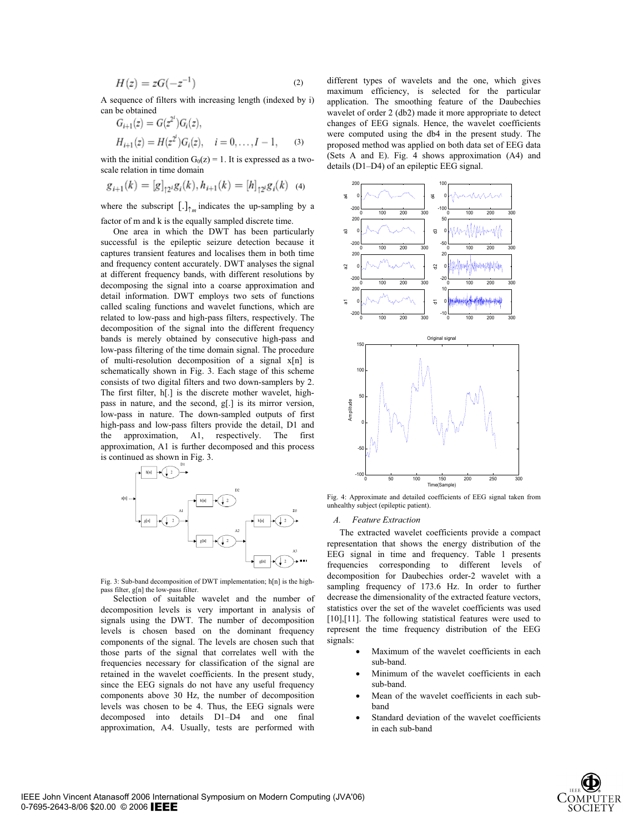$$
H(z) = zG(-z^{-1})
$$
 (2)

A sequence of filters with increasing length (indexed by i) can be obtained

$$
G_{i+1}(z) = G(z^2)G_i(z),
$$
  
\n
$$
H_{i+1}(z) = H(z^{2^i})G_i(z), \quad i = 0, ..., I-1,
$$
 (3)

with the initial condition  $G_0(z) = 1$ . It is expressed as a twoscale relation in time domain

$$
g_{i+1}(k) = [g]_{\uparrow 2^i} g_i(k), h_{i+1}(k) = [h]_{\uparrow 2^i} g_i(k) \quad (4)
$$

where the subscript  $[.]_{\uparrow_m}$  indicates the up-sampling by a factor of m and k is the equally sampled discrete time.

One area in which the DWT has been particularly successful is the epileptic seizure detection because it captures transient features and localises them in both time and frequency content accurately. DWT analyses the signal at different frequency bands, with different resolutions by decomposing the signal into a coarse approximation and detail information. DWT employs two sets of functions called scaling functions and wavelet functions, which are related to low-pass and high-pass filters, respectively. The decomposition of the signal into the different frequency bands is merely obtained by consecutive high-pass and low-pass filtering of the time domain signal. The procedure of multi-resolution decomposition of a signal x[n] is schematically shown in Fig. 3. Each stage of this scheme consists of two digital filters and two down-samplers by 2. The first filter, h[.] is the discrete mother wavelet, highpass in nature, and the second, g[.] is its mirror version, low-pass in nature. The down-sampled outputs of first high-pass and low-pass filters provide the detail, D1 and the approximation, A1, respectively. The first approximation, A1 is further decomposed and this process is continued as shown in Fig. 3.



Fig. 3: Sub-band decomposition of DWT implementation; h[n] is the highpass filter, g[n] the low-pass filter.

Selection of suitable wavelet and the number of decomposition levels is very important in analysis of signals using the DWT. The number of decomposition levels is chosen based on the dominant frequency components of the signal. The levels are chosen such that those parts of the signal that correlates well with the frequencies necessary for classification of the signal are retained in the wavelet coefficients. In the present study, since the EEG signals do not have any useful frequency components above 30 Hz, the number of decomposition levels was chosen to be 4. Thus, the EEG signals were decomposed into details D1–D4 and one final approximation, A4. Usually, tests are performed with

different types of wavelets and the one, which gives maximum efficiency, is selected for the particular application. The smoothing feature of the Daubechies wavelet of order 2 (db2) made it more appropriate to detect changes of EEG signals. Hence, the wavelet coefficients were computed using the db4 in the present study. The proposed method was applied on both data set of EEG data (Sets A and E). Fig. 4 shows approximation (A4) and details (D1–D4) of an epileptic EEG signal.



Fig. 4: Approximate and detailed coefficients of EEG signal taken from unhealthy subject (epileptic patient).

# *A. Feature Extraction*

The extracted wavelet coefficients provide a compact representation that shows the energy distribution of the EEG signal in time and frequency. Table 1 presents frequencies corresponding to different levels of decomposition for Daubechies order-2 wavelet with a sampling frequency of 173.6 Hz. In order to further decrease the dimensionality of the extracted feature vectors, statistics over the set of the wavelet coefficients was used [10],[11]. The following statistical features were used to represent the time frequency distribution of the EEG signals:

- Maximum of the wavelet coefficients in each sub-band.
- Minimum of the wavelet coefficients in each sub-band.
- Mean of the wavelet coefficients in each subband
- Standard deviation of the wavelet coefficients in each sub-band

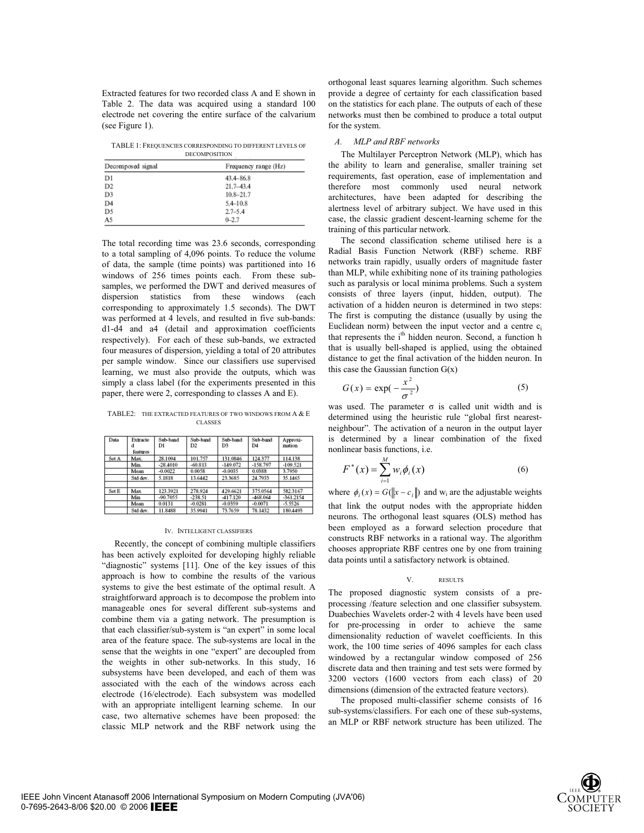Extracted features for two recorded class A and E shown in Table 2. The data was acquired using a standard 100 electrode net covering the entire surface of the calvarium (see Figure 1).

TABLE 1: FREQUENCIES CORRESPONDING TO DIFFERENT LEVELS OF DECOMPOSITION

| Decomposed signal | Frequency range (Hz) |  |  |
|-------------------|----------------------|--|--|
| D1                | $43.4 - 86.8$        |  |  |
| D <sub>2</sub>    | $21.7 - 43.4$        |  |  |
| D <sub>3</sub>    | $10.8 - 21.7$        |  |  |
| D <sub>4</sub>    | $5.4 - 10.8$         |  |  |
| D <sub>5</sub>    | $2.7 - 5.4$          |  |  |
| A5                | $0 - 2.7$            |  |  |

The total recording time was 23.6 seconds, corresponding to a total sampling of 4,096 points. To reduce the volume of data, the sample (time points) was partitioned into 16 windows of 256 times points each. From these subsamples, we performed the DWT and derived measures of dispersion statistics from these windows (each corresponding to approximately 1.5 seconds). The DWT was performed at 4 levels, and resulted in five sub-bands: d1-d4 and a4 (detail and approximation coefficients respectively). For each of these sub-bands, we extracted four measures of dispersion, yielding a total of 20 attributes per sample window. Since our classifiers use supervised learning, we must also provide the outputs, which was simply a class label (for the experiments presented in this paper, there were 2, corresponding to classes A and E).

TABLE2: THE EXTRACTED FEATURES OF TWO WINDOWS FROM A  $\&$  E CLASSES

| Data  | Extracte | Sub-band   | Sub-band       | Sub-band   | Sub-band       | Approxi-    |
|-------|----------|------------|----------------|------------|----------------|-------------|
|       | đ        | Dı         | D <sub>2</sub> | D3         | D <sub>4</sub> | mation      |
|       | features |            |                |            |                |             |
| Set A | Max.     | 28.1094    | 101.757        | 131.0846   | 124.377        | 114.138     |
|       | Min.     | $-28.4010$ | $-60.813$      | $-149.072$ | $-158.797$     | $-109.521$  |
|       | Mean     | $-0.0022$  | 0.0058         | $-0.0035$  | 0.0388         | 3.7950      |
|       | Std dev. | 5.1818     | 13.6442        | 23.3685    | 24.7933        | 35.1465     |
|       |          |            |                |            |                |             |
| Set E | Max      | 123.3921   | 278.924        | 429.6621   | 375.0564       | 582.3167    |
|       | Min      | -90.7055   | $-238.51$      | $-417.120$ | $-468.064$     | $-361.2154$ |
|       | Mean     | 0.0131     | $-0.0281$      | $-0.0359$  | $-0.0071$      | $-5.5526$   |
|       | Std dev. | 11.8488    | 35.9941        | 73.7659    | 78.1432        | 180.4493    |

#### IV. INTELLIGENT CLASSIFIERS

Recently, the concept of combining multiple classifiers has been actively exploited for developing highly reliable "diagnostic" systems [11]. One of the key issues of this approach is how to combine the results of the various systems to give the best estimate of the optimal result. A straightforward approach is to decompose the problem into manageable ones for several different sub-systems and combine them via a gating network. The presumption is that each classifier/sub-system is "an expert" in some local area of the feature space. The sub-systems are local in the sense that the weights in one "expert" are decoupled from the weights in other sub-networks. In this study, 16 subsystems have been developed, and each of them was associated with the each of the windows across each electrode (16/electrode). Each subsystem was modelled with an appropriate intelligent learning scheme. In our case, two alternative schemes have been proposed: the classic MLP network and the RBF network using the

orthogonal least squares learning algorithm. Such schemes provide a degree of certainty for each classification based on the statistics for each plane. The outputs of each of these networks must then be combined to produce a total output for the system.

## *A. MLP and RBF networks*

The Multilayer Perceptron Network (MLP), which has the ability to learn and generalise, smaller training set requirements, fast operation, ease of implementation and therefore most commonly used neural network architectures, have been adapted for describing the alertness level of arbitrary subject. We have used in this case, the classic gradient descent-learning scheme for the training of this particular network.

The second classification scheme utilised here is a Radial Basis Function Network (RBF) scheme. RBF networks train rapidly, usually orders of magnitude faster than MLP, while exhibiting none of its training pathologies such as paralysis or local minima problems. Such a system consists of three layers (input, hidden, output). The activation of a hidden neuron is determined in two steps: The first is computing the distance (usually by using the Euclidean norm) between the input vector and a centre  $c_i$ that represents the i<sup>th</sup> hidden neuron. Second, a function h that is usually bell-shaped is applied, using the obtained distance to get the final activation of the hidden neuron. In this case the Gaussian function  $G(x)$ 

$$
G(x) = \exp(-\frac{x^2}{\sigma^2})
$$
 (5)

was used. The parameter  $\sigma$  is called unit width and is determined using the heuristic rule "global first nearestneighbour". The activation of a neuron in the output layer is determined by a linear combination of the fixed nonlinear basis functions, i.e.

$$
F^*(x) = \sum_{i=1}^{M} w_i \phi_i(x)
$$
 (6)

where  $\phi_i(x) = G(||x - c_i||)$  and w<sub>i</sub> are the adjustable weights that link the output nodes with the appropriate hidden neurons. The orthogonal least squares (OLS) method has been employed as a forward selection procedure that constructs RBF networks in a rational way. The algorithm chooses appropriate RBF centres one by one from training data points until a satisfactory network is obtained.

#### V. RESULTS

The proposed diagnostic system consists of a preprocessing /feature selection and one classifier subsystem. Duabechies Wavelets order-2 with 4 levels have been used for pre-processing in order to achieve the same dimensionality reduction of wavelet coefficients. In this work, the 100 time series of 4096 samples for each class windowed by a rectangular window composed of 256 discrete data and then training and test sets were formed by 3200 vectors (1600 vectors from each class) of 20 dimensions (dimension of the extracted feature vectors).

The proposed multi-classifier scheme consists of 16 sub-systems/classifiers. For each one of these sub-systems, an MLP or RBF network structure has been utilized. The